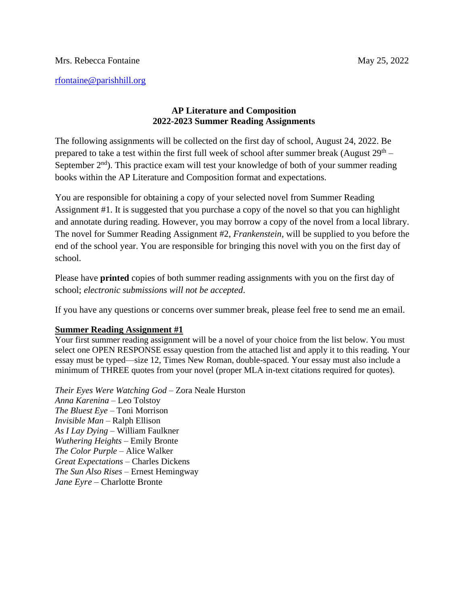## **AP Literature and Composition 2022-2023 Summer Reading Assignments**

The following assignments will be collected on the first day of school, August 24, 2022. Be prepared to take a test within the first full week of school after summer break (August  $29<sup>th</sup>$  – September  $2<sup>nd</sup>$ ). This practice exam will test your knowledge of both of your summer reading books within the AP Literature and Composition format and expectations.

You are responsible for obtaining a copy of your selected novel from Summer Reading Assignment #1. It is suggested that you purchase a copy of the novel so that you can highlight and annotate during reading. However, you may borrow a copy of the novel from a local library. The novel for Summer Reading Assignment #2, *Frankenstein*, will be supplied to you before the end of the school year. You are responsible for bringing this novel with you on the first day of school.

Please have **printed** copies of both summer reading assignments with you on the first day of school; *electronic submissions will not be accepted*.

If you have any questions or concerns over summer break, please feel free to send me an email.

## **Summer Reading Assignment #1**

Your first summer reading assignment will be a novel of your choice from the list below. You must select one OPEN RESPONSE essay question from the attached list and apply it to this reading. Your essay must be typed—size 12, Times New Roman, double-spaced. Your essay must also include a minimum of THREE quotes from your novel (proper MLA in-text citations required for quotes).

*Their Eyes Were Watching God* – Zora Neale Hurston *Anna Karenina* – Leo Tolstoy *The Bluest Eye –* Toni Morrison *Invisible Man* – Ralph Ellison *As I Lay Dying* – William Faulkner *Wuthering Heights* – Emily Bronte *The Color Purple* – Alice Walker *Great Expectations* – Charles Dickens *The Sun Also Rises* – Ernest Hemingway *Jane Eyre* – Charlotte Bronte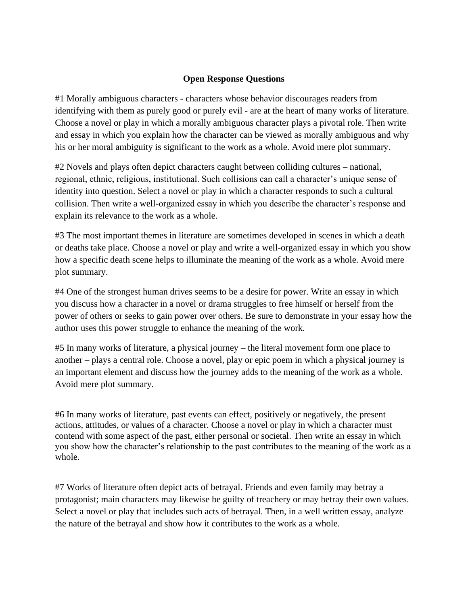## **Open Response Questions**

#1 Morally ambiguous characters - characters whose behavior discourages readers from identifying with them as purely good or purely evil - are at the heart of many works of literature. Choose a novel or play in which a morally ambiguous character plays a pivotal role. Then write and essay in which you explain how the character can be viewed as morally ambiguous and why his or her moral ambiguity is significant to the work as a whole. Avoid mere plot summary.

#2 Novels and plays often depict characters caught between colliding cultures – national, regional, ethnic, religious, institutional. Such collisions can call a character's unique sense of identity into question. Select a novel or play in which a character responds to such a cultural collision. Then write a well-organized essay in which you describe the character's response and explain its relevance to the work as a whole.

#3 The most important themes in literature are sometimes developed in scenes in which a death or deaths take place. Choose a novel or play and write a well-organized essay in which you show how a specific death scene helps to illuminate the meaning of the work as a whole. Avoid mere plot summary.

#4 One of the strongest human drives seems to be a desire for power. Write an essay in which you discuss how a character in a novel or drama struggles to free himself or herself from the power of others or seeks to gain power over others. Be sure to demonstrate in your essay how the author uses this power struggle to enhance the meaning of the work.

#5 In many works of literature, a physical journey – the literal movement form one place to another – plays a central role. Choose a novel, play or epic poem in which a physical journey is an important element and discuss how the journey adds to the meaning of the work as a whole. Avoid mere plot summary.

#6 In many works of literature, past events can effect, positively or negatively, the present actions, attitudes, or values of a character. Choose a novel or play in which a character must contend with some aspect of the past, either personal or societal. Then write an essay in which you show how the character's relationship to the past contributes to the meaning of the work as a whole.

#7 Works of literature often depict acts of betrayal. Friends and even family may betray a protagonist; main characters may likewise be guilty of treachery or may betray their own values. Select a novel or play that includes such acts of betrayal. Then, in a well written essay, analyze the nature of the betrayal and show how it contributes to the work as a whole.